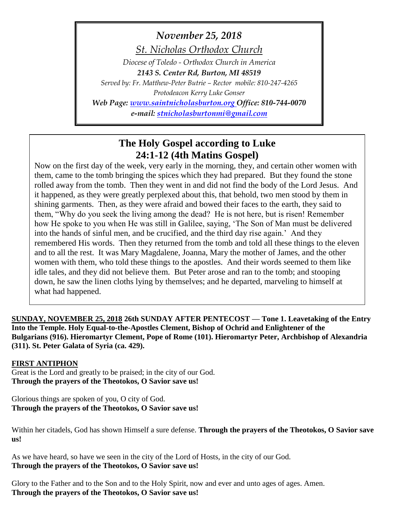# *November 25, 2018*

*St. Nicholas Orthodox Church*

*Diocese of Toledo - Orthodox Church in America 2143 S. Center Rd, Burton, MI 48519*

*Served by: Fr. Matthew-Peter Butrie – Rector mobile: 810-247-4265*

*Protodeacon Kerry Luke Gonser*

*Web Page: [www.saintnicholasburton.org](http://www.saintnicholasburton.org/) Office: 810-744-0070*

*e-mail: [stnicholasburtonmi@gmail.com](mailto:stnicholasburtonmi@gmail.com)*

# **The Holy Gospel according to Luke 24:1-12 (4th Matins Gospel)**

Now on the first day of the week, very early in the morning, they, and certain other women with them, came to the tomb bringing the spices which they had prepared. But they found the stone rolled away from the tomb. Then they went in and did not find the body of the Lord Jesus. And it happened, as they were greatly perplexed about this, that behold, two men stood by them in shining garments. Then, as they were afraid and bowed their faces to the earth, they said to them, "Why do you seek the living among the dead? He is not here, but is risen! Remember how He spoke to you when He was still in Galilee, saying, 'The Son of Man must be delivered into the hands of sinful men, and be crucified, and the third day rise again.' And they remembered His words. Then they returned from the tomb and told all these things to the eleven and to all the rest. It was Mary Magdalene, Joanna, Mary the mother of James, and the other women with them, who told these things to the apostles. And their words seemed to them like idle tales, and they did not believe them. But Peter arose and ran to the tomb; and stooping down, he saw the linen cloths lying by themselves; and he departed, marveling to himself at what had happened.

**SUNDAY, NOVEMBER 25, 2018 26th SUNDAY AFTER PENTECOST — Tone 1. Leavetaking of the Entry Into the Temple. Holy Equal-to-the-Apostles Clement, Bishop of Ochrid and Enlightener of the Bulgarians (916). Hieromartyr Clement, Pope of Rome (101). Hieromartyr Peter, Archbishop of Alexandria (311). St. Peter Galata of Syria (ca. 429).**

## **FIRST ANTIPHON**

Great is the Lord and greatly to be praised; in the city of our God. **Through the prayers of the Theotokos, O Savior save us!**

Glorious things are spoken of you, O city of God. **Through the prayers of the Theotokos, O Savior save us!**

Within her citadels, God has shown Himself a sure defense. **Through the prayers of the Theotokos, O Savior save us!**

As we have heard, so have we seen in the city of the Lord of Hosts, in the city of our God. **Through the prayers of the Theotokos, O Savior save us!**

Glory to the Father and to the Son and to the Holy Spirit, now and ever and unto ages of ages. Amen. **Through the prayers of the Theotokos, O Savior save us!**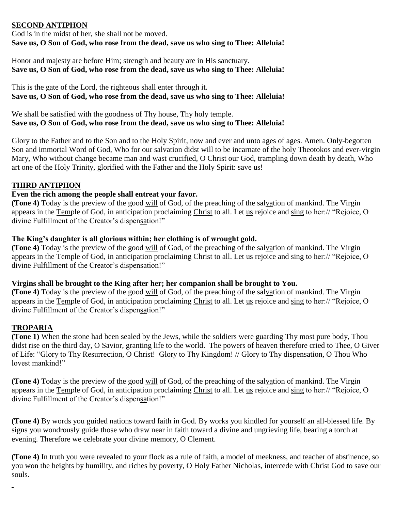#### **SECOND ANTIPHON**

God is in the midst of her, she shall not be moved. **Save us, O Son of God, who rose from the dead, save us who sing to Thee: Alleluia!**

Honor and majesty are before Him; strength and beauty are in His sanctuary. **Save us, O Son of God, who rose from the dead, save us who sing to Thee: Alleluia!**

This is the gate of the Lord, the righteous shall enter through it. **Save us, O Son of God, who rose from the dead, save us who sing to Thee: Alleluia!**

We shall be satisfied with the goodness of Thy house, Thy holy temple. **Save us, O Son of God, who rose from the dead, save us who sing to Thee: Alleluia!**

Glory to the Father and to the Son and to the Holy Spirit, now and ever and unto ages of ages. Amen. Only-begotten Son and immortal Word of God, Who for our salvation didst will to be incarnate of the holy Theotokos and ever-virgin Mary, Who without change became man and wast crucified, O Christ our God, trampling down death by death, Who art one of the Holy Trinity, glorified with the Father and the Holy Spirit: save us!

#### **THIRD ANTIPHON**

#### **Even the rich among the people shall entreat your favor.**

**(Tone 4)** Today is the preview of the good will of God, of the preaching of the salvation of mankind. The Virgin appears in the Temple of God, in anticipation proclaiming Christ to all. Let us rejoice and sing to her:// "Rejoice, O divine Fulfillment of the Creator's dispensation!"

#### **The King's daughter is all glorious within; her clothing is of wrought gold.**

**(Tone 4)** Today is the preview of the good will of God, of the preaching of the salvation of mankind. The Virgin appears in the Temple of God, in anticipation proclaiming Christ to all. Let us rejoice and sing to her:// "Rejoice, O divine Fulfillment of the Creator's dispensation!"

#### **Virgins shall be brought to the King after her; her companion shall be brought to You.**

**(Tone 4)** Today is the preview of the good will of God, of the preaching of the salvation of mankind. The Virgin appears in the Temple of God, in anticipation proclaiming Christ to all. Let us rejoice and sing to her:// "Rejoice, O divine Fulfillment of the Creator's dispensation!"

#### **TROPARIA**

**(Tone 1)** When the stone had been sealed by the Jews, while the soldiers were guarding Thy most pure body, Thou didst rise on the third day, O Savior, granting life to the world. The powers of heaven therefore cried to Thee, O Giver of Life: "Glory to Thy Resurrection, O Christ! Glory to Thy Kingdom! // Glory to Thy dispensation, O Thou Who lovest mankind!"

**(Tone 4)** Today is the preview of the good will of God, of the preaching of the salvation of mankind. The Virgin appears in the Temple of God, in anticipation proclaiming Christ to all. Let us rejoice and sing to her:// "Rejoice, O divine Fulfillment of the Creator's dispensation!"

**(Tone 4)** By words you guided nations toward faith in God. By works you kindled for yourself an all-blessed life. By signs you wondrously guide those who draw near in faith toward a divine and ungrieving life, bearing a torch at evening. Therefore we celebrate your divine memory, O Clement.

**(Tone 4)** In truth you were revealed to your flock as a rule of faith, a model of meekness, and teacher of abstinence, so you won the heights by humility, and riches by poverty, O Holy Father Nicholas, intercede with Christ God to save our souls.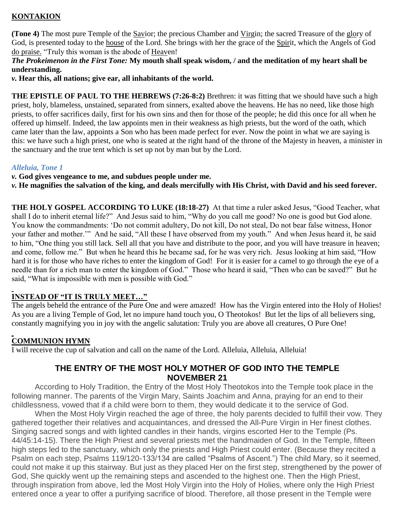# **KONTAKION**

**(Tone 4)** The most pure Temple of the Savior; the precious Chamber and Virgin; the sacred Treasure of the glory of God, is presented today to the house of the Lord. She brings with her the grace of the Spirit, which the Angels of God do praise. "Truly this woman is the abode of Heaven!

#### *The Prokeimenon in the First Tone:* **My mouth shall speak wisdom, / and the meditation of my heart shall be understanding.**

*v.* **Hear this, all nations; give ear, all inhabitants of the world.**

**THE EPISTLE OF PAUL TO THE HEBREWS (7:26-8:2)** Brethren: it was fitting that we should have such a high priest, holy, blameless, unstained, separated from sinners, exalted above the heavens. He has no need, like those high priests, to offer sacrifices daily, first for his own sins and then for those of the people; he did this once for all when he offered up himself. Indeed, the law appoints men in their weakness as high priests, but the word of the oath, which came later than the law, appoints a Son who has been made perfect for ever. Now the point in what we are saying is this: we have such a high priest, one who is seated at the right hand of the throne of the Majesty in heaven, a minister in the sanctuary and the true tent which is set up not by man but by the Lord.

#### *Alleluia, Tone 1*

*v.* **God gives vengeance to me, and subdues people under me.**

*v.* **He magnifies the salvation of the king, and deals mercifully with His Christ, with David and his seed forever.**

**THE HOLY GOSPEL ACCORDING TO LUKE (18:18-27)** At that time a ruler asked Jesus, "Good Teacher, what shall I do to inherit eternal life?" And Jesus said to him, "Why do you call me good? No one is good but God alone. You know the commandments: 'Do not commit adultery, Do not kill, Do not steal, Do not bear false witness, Honor your father and mother.'" And he said, "All these I have observed from my youth." And when Jesus heard it, he said to him, "One thing you still lack. Sell all that you have and distribute to the poor, and you will have treasure in heaven; and come, follow me." But when he heard this he became sad, for he was very rich. Jesus looking at him said, "How hard it is for those who have riches to enter the kingdom of God! For it is easier for a camel to go through the eye of a needle than for a rich man to enter the kingdom of God." Those who heard it said, "Then who can be saved?" But he said, "What is impossible with men is possible with God."

## **INSTEAD OF "IT IS TRULY MEET…"**

The angels beheld the entrance of the Pure One and were amazed! How has the Virgin entered into the Holy of Holies! As you are a living Temple of God, let no impure hand touch you, O Theotokos! But let the lips of all believers sing, constantly magnifying you in joy with the angelic salutation: Truly you are above all creatures, O Pure One!

# **COMMUNION HYMN**

I will receive the cup of salvation and call on the name of the Lord. Alleluia, Alleluia, Alleluia!

# **THE ENTRY OF THE MOST HOLY MOTHER OF GOD INTO THE TEMPLE NOVEMBER 21**

According to Holy Tradition, the Entry of the Most Holy Theotokos into the Temple took place in the following manner. The parents of the Virgin Mary, Saints Joachim and Anna, praying for an end to their childlessness, vowed that if a child were born to them, they would dedicate it to the service of God.

When the Most Holy Virgin reached the age of three, the holy parents decided to fulfill their vow. They gathered together their relatives and acquaintances, and dressed the All-Pure Virgin in Her finest clothes. Singing sacred songs and with lighted candles in their hands, virgins escorted Her to the Temple (Ps. 44/45:14-15). There the High Priest and several priests met the handmaiden of God. In the Temple, fifteen high steps led to the sanctuary, which only the priests and High Priest could enter. (Because they recited a Psalm on each step, Psalms 119/120-133/134 are called "Psalms of Ascent.") The child Mary, so it seemed, could not make it up this stairway. But just as they placed Her on the first step, strengthened by the power of God, She quickly went up the remaining steps and ascended to the highest one. Then the High Priest, through inspiration from above, led the Most Holy Virgin into the Holy of Holies, where only the High Priest entered once a year to offer a purifying sacrifice of blood. Therefore, all those present in the Temple were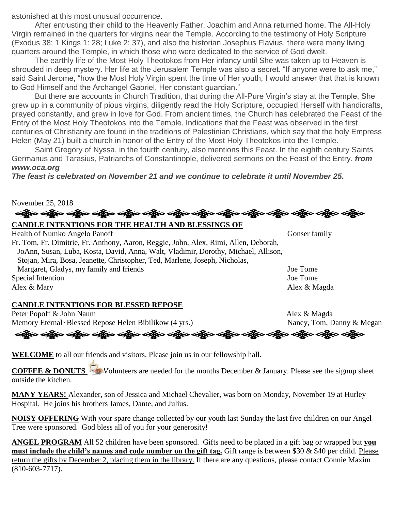astonished at this most unusual occurrence.

After entrusting their child to the Heavenly Father, Joachim and Anna returned home. The All-Holy Virgin remained in the quarters for virgins near the Temple. According to the testimony of Holy Scripture (Exodus 38; 1 Kings 1: 28; Luke 2: 37), and also the historian Josephus Flavius, there were many living quarters around the Temple, in which those who were dedicated to the service of God dwelt.

The earthly life of the Most Holy Theotokos from Her infancy until She was taken up to Heaven is shrouded in deep mystery. Her life at the Jerusalem Temple was also a secret. "If anyone were to ask me," said Saint Jerome, "how the Most Holy Virgin spent the time of Her youth, I would answer that that is known to God Himself and the Archangel Gabriel, Her constant guardian."

But there are accounts in Church Tradition, that during the All-Pure Virgin's stay at the Temple, She grew up in a community of pious virgins, diligently read the Holy Scripture, occupied Herself with handicrafts, prayed constantly, and grew in love for God. From ancient times, the Church has celebrated the Feast of the Entry of the Most Holy Theotokos into the Temple. Indications that the Feast was observed in the first centuries of Christianity are found in the traditions of Palestinian Christians, which say that the holy Empress Helen (May 21) built a church in honor of the Entry of the Most Holy Theotokos into the Temple.

Saint Gregory of Nyssa, in the fourth century, also mentions this Feast. In the eighth century Saints Germanus and Tarasius, Patriarchs of Constantinople, delivered sermons on the Feast of the Entry. *from www.oca.org*

*The feast is celebrated on November 21 and we continue to celebrate it until November 25.*



Health of Numko Angelo Panoff Gonser family Fr. Tom, Fr. Dimitrie, Fr. Anthony, Aaron, Reggie, John, Alex, Rimi, Allen, Deborah, JoAnn, Susan, Luba, Kosta, David, Anna, Walt, Vladimir, Dorothy, Michael, Allison, Stojan, Mira, Bosa, Jeanette, Christopher, Ted, Marlene, Joseph, Nicholas, Margaret, Gladys, my family and friends Joe Tome Special Intention Joe Tome Alex & Mary Alex & Magda

## **CANDLE INTENTIONS FOR BLESSED REPOSE**

Peter Popoff & John Naum Alex & Magda Memory Eternal~Blessed Repose Helen Bibilikow (4 yrs.) Nancy, Tom, Danny & Megan

**WELCOME** to all our friends and visitors. Please join us in our fellowship hall.

**COFFEE & DONUTS** Volunteers are needed for the months December & January. Please see the signup sheet outside the kitchen.

ခရွိပြော ခရွိပြော ခရွိပြော ခရိုက် ခရိုက် ခရိုက် ခရိုက် ခရိုက် ခရိုက် ခရိုက် ခရိုက် ခရိုက် ခရိုက် ခရိုက်

**MANY YEARS!** Alexander, son of Jessica and Michael Chevalier, was born on Monday, November 19 at Hurley Hospital. He joins his brothers James, Dante, and Julius.

**NOISY OFFERING** With your spare change collected by our youth last Sunday the last five children on our Angel Tree were sponsored. God bless all of you for your generosity!

**ANGEL PROGRAM** All 52 children have been sponsored. Gifts need to be placed in a gift bag or wrapped but **you must include the child's names and code number on the gift tag.** Gift range is between \$30 & \$40 per child. Please return the gifts by December 2, placing them in the library. If there are any questions, please contact Connie Maxim (810-603-7717).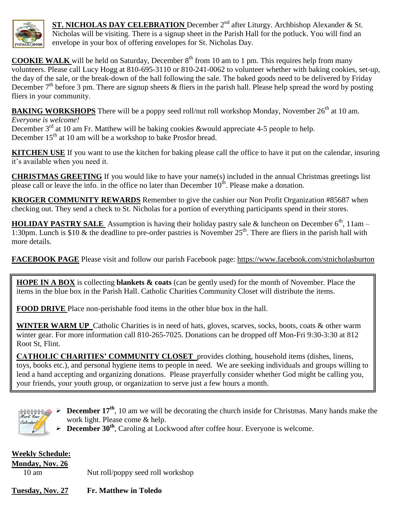

**ST. NICHOLAS DAY CELEBRATION** December 2<sup>nd</sup> after Liturgy. Archbishop Alexander & St. Nicholas will be visiting. There is a signup sheet in the Parish Hall for the potluck. You will find an envelope in your box of offering envelopes for St. Nicholas Day.

**COOKIE WALK** will be held on Saturday, December  $8<sup>th</sup>$  from 10 am to 1 pm. This requires help from many volunteers. Please call Lucy Hogg at 810-695-3110 or 810-241-0062 to volunteer whether with baking cookies, set-up, the day of the sale, or the break-down of the hall following the sale. The baked goods need to be delivered by Friday December  $7<sup>th</sup>$  before 3 pm. There are signup sheets & fliers in the parish hall. Please help spread the word by posting fliers in your community.

**BAKING WORKSHOPS** There will be a poppy seed roll/nut roll workshop Monday, November 26<sup>th</sup> at 10 am. *Everyone is welcome!*

December 3<sup>rd</sup> at 10 am Fr. Matthew will be baking cookies &would appreciate 4-5 people to help. December  $15<sup>th</sup>$  at 10 am will be a workshop to bake Prosfor bread.

**KITCHEN USE** If you want to use the kitchen for baking please call the office to have it put on the calendar, insuring it's available when you need it.

**CHRISTMAS GREETING** If you would like to have your name(s) included in the annual Christmas greetings list please call or leave the info. in the office no later than December  $10<sup>th</sup>$ . Please make a donation.

**KROGER COMMUNITY REWARDS** Remember to give the cashier our Non Profit Organization #85687 when checking out. They send a check to St. Nicholas for a portion of everything participants spend in their stores.

**HOLIDAY PASTRY SALE** Assumption is having their holiday pastry sale & luncheon on December  $6<sup>th</sup>$ , 11am – 1:30pm. Lunch is \$10  $\&$  the deadline to pre-order pastries is November 25<sup>th</sup>. There are fliers in the parish hall with more details.

**FACEBOOK PAGE** Please visit and follow our parish Facebook page:<https://www.facebook.com/stnicholasburton>

**HOPE IN A BOX** is collecting **blankets & coats** (can be gently used) for the month of November. Place the items in the blue box in the Parish Hall. Catholic Charities Community Closet will distribute the items.

**FOOD DRIVE** Place non-perishable food items in the other blue box in the hall.

**WINTER WARM UP** Catholic Charities is in need of hats, gloves, scarves, socks, boots, coats & other warm winter gear. For more information call 810-265-7025. Donations can be dropped off Mon-Fri 9:30-3:30 at 812 Root St, Flint.

**CATHOLIC CHARITIES' COMMUNITY CLOSET** provides clothing, household items (dishes, linens, toys, books etc.), and personal hygiene items to people in need. We are seeking individuals and groups willing to lend a hand accepting and organizing donations. Please prayerfully consider whether God might be calling you, your friends, your youth group, or organization to serve just a few hours a month.

# 0000000 Calendar!

- **December 17<sup>th</sup>**, 10 am we will be decorating the church inside for Christmas. Many hands make the work light. Please come & help.
- **December 30th** , Caroling at Lockwood after coffee hour. Everyone is welcome.

| <b>Weekly Schedule:</b> |                                   |
|-------------------------|-----------------------------------|
| <b>Monday, Nov. 26</b>  |                                   |
| $10 \text{ am}$         | Nut roll/poppy seed roll workshop |
|                         |                                   |
| Tuesday, Nov. 27        | <b>Fr. Matthew in Toledo</b>      |